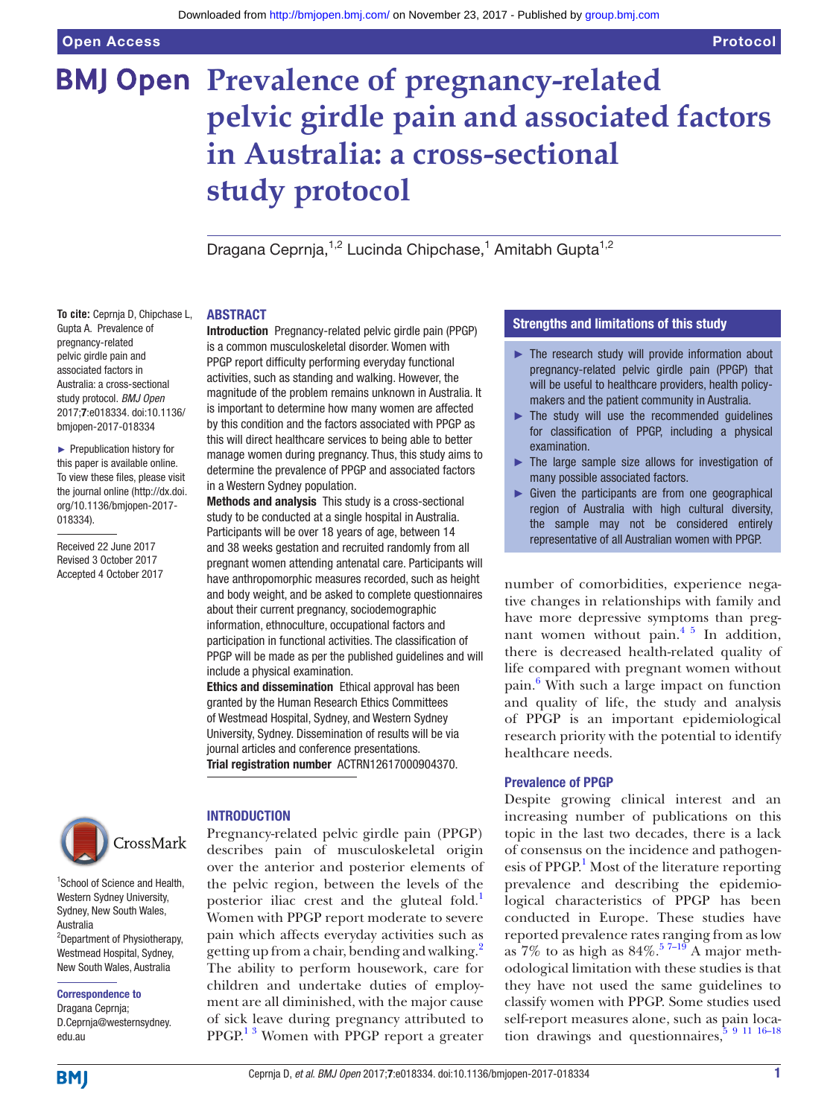**To cite:** Ceprnja D, Chipchase L, Gupta A. Prevalence of pregnancy-related pelvic girdle pain and associated factors in Australia: a cross-sectional study protocol. *BMJ Open* 2017;7:e018334. doi:10.1136/ bmjopen-2017-018334 ► Prepublication history for this paper is available online. To view these files, please visit the journal online [\(http://dx.doi.](http://dx.doi.org/10.1136/bmjopen-2017-018334) [org/10.1136/bmjopen-2017-](http://dx.doi.org/10.1136/bmjopen-2017-018334)

[018334\)](http://dx.doi.org/10.1136/bmjopen-2017-018334).

Received 22 June 2017 Revised 3 October 2017 Accepted 4 October 2017

# **BMJ Open Prevalence of pregnancy-related pelvic girdle pain and associated factors in Australia: a cross-sectional study protocol**

Dragana Ceprnja,<sup>1,2</sup> Lucinda Chipchase,<sup>1</sup> Amitabh Gupta<sup>1,2</sup>

#### **ABSTRACT**

Introduction Pregnancy-related pelvic girdle pain (PPGP) is a common musculoskeletal disorder. Women with PPGP report difficulty performing everyday functional activities, such as standing and walking. However, the magnitude of the problem remains unknown in Australia. It is important to determine how many women are affected by this condition and the factors associated with PPGP as this will direct healthcare services to being able to better manage women during pregnancy. Thus, this study aims to determine the prevalence of PPGP and associated factors in a Western Sydney population.

Methods and analysis This study is a cross-sectional study to be conducted at a single hospital in Australia. Participants will be over 18 years of age, between 14 and 38 weeks gestation and recruited randomly from all pregnant women attending antenatal care. Participants will have anthropomorphic measures recorded, such as height and body weight, and be asked to complete questionnaires about their current pregnancy, sociodemographic information, ethnoculture, occupational factors and participation in functional activities. The classification of PPGP will be made as per the published guidelines and will include a physical examination.

Ethics and dissemination Ethical approval has been granted by the Human Research Ethics Committees of Westmead Hospital, Sydney, and Western Sydney University, Sydney. Dissemination of results will be via journal articles and conference presentations. Trial registration number <ACTRN12617000904370>.



1 School of Science and Health, Western Sydney University, Sydney, New South Wales, Australia <sup>2</sup>Department of Physiotherapy, Westmead Hospital, Sydney, New South Wales, Australia

Correspondence to

Dragana Ceprnja; D.Ceprnja@westernsydney. edu.au

#### **INTRODUCTION**

Pregnancy-related pelvic girdle pain (PPGP) describes pain of musculoskeletal origin over the anterior and posterior elements of the pelvic region, between the levels of the posterior iliac crest and the gluteal fold.<sup>[1](#page-4-0)</sup> Women with PPGP report moderate to severe pain which affects everyday activities such as getting up from a chair, bending and walking.<sup>[2](#page-4-1)</sup> The ability to perform housework, care for children and undertake duties of employment are all diminished, with the major cause of sick leave during pregnancy attributed to PPGP.<sup>13</sup> Women with PPGP report a greater

# Strengths and limitations of this study

- ► The research study will provide information about pregnancy-related pelvic girdle pain (PPGP) that will be useful to healthcare providers, health policymakers and the patient community in Australia.
- The study will use the recommended quidelines for classification of PPGP, including a physical examination.
- ► The large sample size allows for investigation of many possible associated factors.
- Given the participants are from one geographical region of Australia with high cultural diversity, the sample may not be considered entirely representative of all Australian women with PPGP.

number of comorbidities, experience negative changes in relationships with family and have more depressive symptoms than pregnant women without pain.[4 5](#page-4-2) In addition, there is decreased health-related quality of life compared with pregnant women without pain.<sup>6</sup> With such a large impact on function and quality of life, the study and analysis of PPGP is an important epidemiological research priority with the potential to identify healthcare needs.

#### Prevalence of PPGP

Despite growing clinical interest and an increasing number of publications on this topic in the last two decades, there is a lack of consensus on the incidence and pathogenesis of PPGP.<sup>1</sup> Most of the literature reporting prevalence and describing the epidemiological characteristics of PPGP has been conducted in Europe. These studies have reported prevalence rates ranging from as low as  $7\%$  to as high as  $84\%$ .<sup>57-19</sup> A major methodological limitation with these studies is that they have not used the same guidelines to classify women with PPGP. Some studies used self-report measures alone, such as pain location drawings and questionnaires,  $591116-18$ 

**BMI**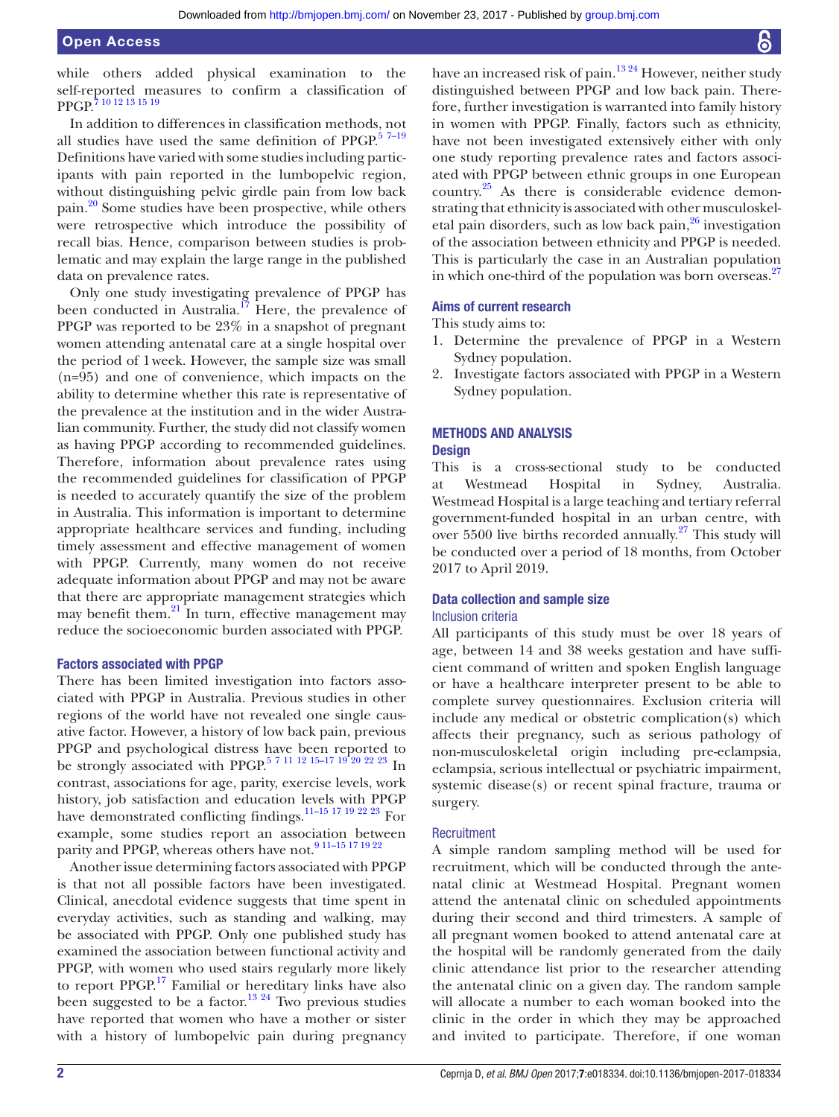#### Open Access

while others added physical examination to the self-reported measures to confirm a classification of PPGP.[7 10 12 13 15 19](#page-4-5)

In addition to differences in classification methods, not all studies have used the same definition of PPGP. $57-19$ Definitions have varied with some studies including participants with pain reported in the lumbopelvic region, without distinguishing pelvic girdle pain from low back pain.[20](#page-4-6) Some studies have been prospective, while others were retrospective which introduce the possibility of recall bias. Hence, comparison between studies is problematic and may explain the large range in the published data on prevalence rates.

Only one study investigating prevalence of PPGP has been conducted in Australia.<sup>17</sup> Here, the prevalence of PPGP was reported to be 23% in a snapshot of pregnant women attending antenatal care at a single hospital over the period of 1week. However, the sample size was small (n=95) and one of convenience, which impacts on the ability to determine whether this rate is representative of the prevalence at the institution and in the wider Australian community. Further, the study did not classify women as having PPGP according to recommended guidelines. Therefore, information about prevalence rates using the recommended guidelines for classification of PPGP is needed to accurately quantify the size of the problem in Australia. This information is important to determine appropriate healthcare services and funding, including timely assessment and effective management of women with PPGP. Currently, many women do not receive adequate information about PPGP and may not be aware that there are appropriate management strategies which may benefit them. $^{21}$  $^{21}$  $^{21}$  In turn, effective management may reduce the socioeconomic burden associated with PPGP.

#### Factors associated with PPGP

There has been limited investigation into factors associated with PPGP in Australia. Previous studies in other regions of the world have not revealed one single causative factor. However, a history of low back pain, previous PPGP and psychological distress have been reported to be strongly associated with PPGP.<sup>5 7 11 12 15–17 19 20 22 23</sup> In contrast, associations for age, parity, exercise levels, work history, job satisfaction and education levels with PPGP have demonstrated conflicting findings[.11–15 17 19 22 23](#page-4-9) For example, some studies report an association between parity and PPGP, whereas others have not.<sup>9 11-15 17 19 22</sup>

Another issue determining factors associated with PPGP is that not all possible factors have been investigated. Clinical, anecdotal evidence suggests that time spent in everyday activities, such as standing and walking, may be associated with PPGP. Only one published study has examined the association between functional activity and PPGP, with women who used stairs regularly more likely to report PPGP.<sup>17</sup> Familial or hereditary links have also been suggested to be a factor.<sup>[13 24](#page-4-11)</sup> Two previous studies have reported that women who have a mother or sister with a history of lumbopelvic pain during pregnancy have an increased risk of pain.<sup>1324</sup> However, neither study distinguished between PPGP and low back pain. Therefore, further investigation is warranted into family history in women with PPGP. Finally, factors such as ethnicity, have not been investigated extensively either with only one study reporting prevalence rates and factors associated with PPGP between ethnic groups in one European country.[25](#page-4-12) As there is considerable evidence demonstrating that ethnicity is associated with other musculoskeletal pain disorders, such as low back pain,<sup>26</sup> investigation of the association between ethnicity and PPGP is needed. This is particularly the case in an Australian population in which one-third of the population was born overseas. $27$ 

#### Aims of current research

This study aims to:

- 1. Determine the prevalence of PPGP in a Western Sydney population.
- 2. Investigate factors associated with PPGP in a Western Sydney population.

# Methods and analysis

#### **Design**

This is a cross-sectional study to be conducted at Westmead Hospital in Sydney, Australia. Westmead Hospital is a large teaching and tertiary referral government-funded hospital in an urban centre, with over 5500 live births recorded annually. $27$  This study will be conducted over a period of 18 months, from October 2017 to April 2019.

#### Data collection and sample size Inclusion criteria

# All participants of this study must be over 18 years of age, between 14 and 38 weeks gestation and have sufficient command of written and spoken English language or have a healthcare interpreter present to be able to complete survey questionnaires. Exclusion criteria will include any medical or obstetric complication(s) which affects their pregnancy, such as serious pathology of non-musculoskeletal origin including pre-eclampsia, eclampsia, serious intellectual or psychiatric impairment, systemic disease(s) or recent spinal fracture, trauma or surgery.

#### **Recruitment**

A simple random sampling method will be used for recruitment, which will be conducted through the antenatal clinic at Westmead Hospital. Pregnant women attend the antenatal clinic on scheduled appointments during their second and third trimesters. A sample of all pregnant women booked to attend antenatal care at the hospital will be randomly generated from the daily clinic attendance list prior to the researcher attending the antenatal clinic on a given day. The random sample will allocate a number to each woman booked into the clinic in the order in which they may be approached and invited to participate. Therefore, if one woman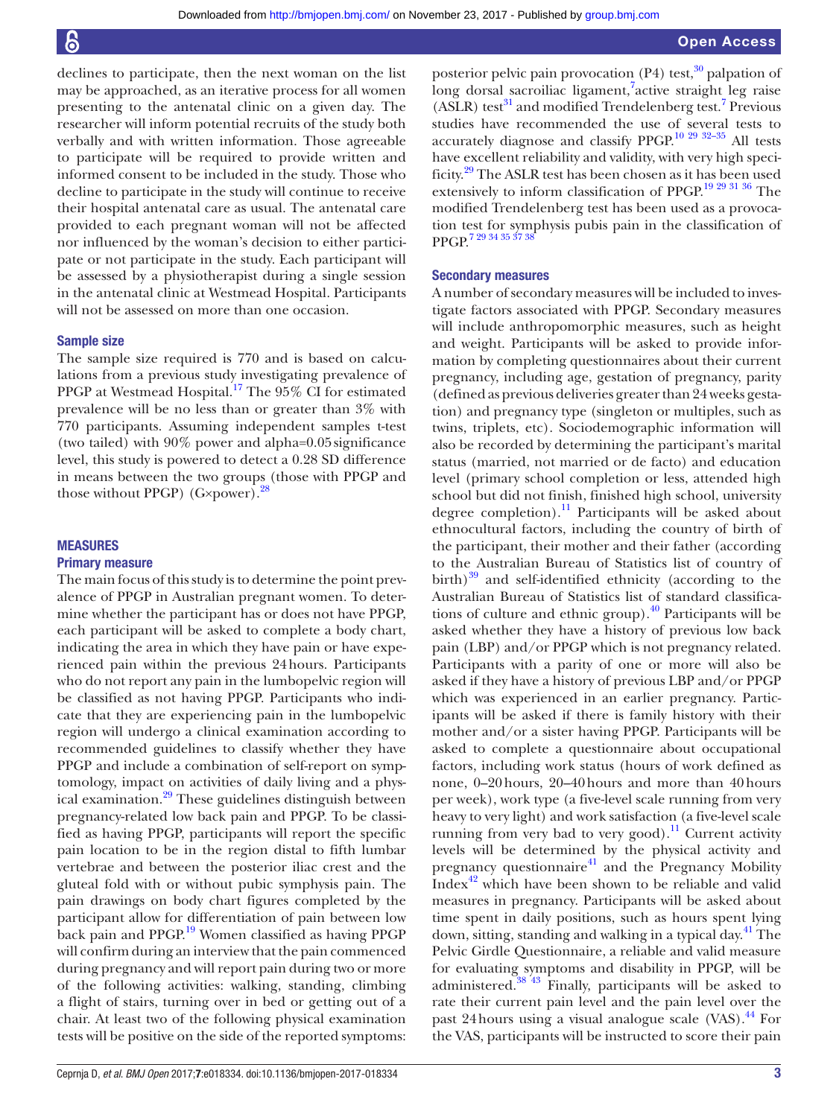declines to participate, then the next woman on the list may be approached, as an iterative process for all women presenting to the antenatal clinic on a given day. The researcher will inform potential recruits of the study both verbally and with written information. Those agreeable to participate will be required to provide written and informed consent to be included in the study. Those who decline to participate in the study will continue to receive their hospital antenatal care as usual. The antenatal care provided to each pregnant woman will not be affected nor influenced by the woman's decision to either participate or not participate in the study. Each participant will be assessed by a physiotherapist during a single session in the antenatal clinic at Westmead Hospital. Participants will not be assessed on more than one occasion.

#### Sample size

The sample size required is 770 and is based on calculations from a previous study investigating prevalence of PPGP at Westmead Hospital.<sup>[17](#page-4-7)</sup> The 95% CI for estimated prevalence will be no less than or greater than 3% with 770 participants. Assuming independent samples t-test (two tailed) with 90% power and alpha=0.05significance level, this study is powered to detect a 0.28 SD difference in means between the two groups (those with PPGP and those without PPGP)  $(G \times power)$ .<sup>[28](#page-4-15)</sup>

# **MEASURES**

#### Primary measure

The main focus of this study is to determine the point prevalence of PPGP in Australian pregnant women. To determine whether the participant has or does not have PPGP, each participant will be asked to complete a body chart, indicating the area in which they have pain or have experienced pain within the previous 24hours. Participants who do not report any pain in the lumbopelvic region will be classified as not having PPGP. Participants who indicate that they are experiencing pain in the lumbopelvic region will undergo a clinical examination according to recommended guidelines to classify whether they have PPGP and include a combination of self-report on symptomology, impact on activities of daily living and a physical examination.<sup>29</sup> These guidelines distinguish between pregnancy-related low back pain and PPGP. To be classified as having PPGP, participants will report the specific pain location to be in the region distal to fifth lumbar vertebrae and between the posterior iliac crest and the gluteal fold with or without pubic symphysis pain. The pain drawings on body chart figures completed by the participant allow for differentiation of pain between low back pain and PPGP.[19](#page-4-17) Women classified as having PPGP will confirm during an interview that the pain commenced during pregnancy and will report pain during two or more of the following activities: walking, standing, climbing a flight of stairs, turning over in bed or getting out of a chair. At least two of the following physical examination tests will be positive on the side of the reported symptoms:

posterior pelvic pain provocation  $(P4)$  test,<sup>30</sup> palpation of long dorsal sacroiliac ligament,<sup>[7](#page-4-5)</sup>active straight leg raise  $(ASLR)$  test $31$  and modified Trendelenberg test.<sup>7</sup> Previous studies have recommended the use of several tests to accurately diagnose and classify PPGP.[10 29 32–35](#page-4-20) All tests have excellent reliability and validity, with very high specificity.[29](#page-4-16) The ASLR test has been chosen as it has been used extensively to inform classification of PPGP.<sup>19 29 31 36</sup> The modified Trendelenberg test has been used as a provocation test for symphysis pubis pain in the classification of PPGP[.7 29 34 35 37 38](#page-4-5)

#### Secondary measures

A number of secondary measures will be included to investigate factors associated with PPGP. Secondary measures will include anthropomorphic measures, such as height and weight. Participants will be asked to provide information by completing questionnaires about their current pregnancy, including age, gestation of pregnancy, parity (defined as previous deliveries greater than 24 weeks gestation) and pregnancy type (singleton or multiples, such as twins, triplets, etc). Sociodemographic information will also be recorded by determining the participant's marital status (married, not married or de facto) and education level (primary school completion or less, attended high school but did not finish, finished high school, university degree completion).<sup>[11](#page-4-9)</sup> Participants will be asked about ethnocultural factors, including the country of birth of the participant, their mother and their father (according to the Australian Bureau of Statistics list of country of birth) $^{39}$  and self-identified ethnicity (according to the Australian Bureau of Statistics list of standard classifica-tions of culture and ethnic group).<sup>[40](#page-5-1)</sup> Participants will be asked whether they have a history of previous low back pain (LBP) and/or PPGP which is not pregnancy related. Participants with a parity of one or more will also be asked if they have a history of previous LBP and/or PPGP which was experienced in an earlier pregnancy. Participants will be asked if there is family history with their mother and/or a sister having PPGP. Participants will be asked to complete a questionnaire about occupational factors, including work status (hours of work defined as none, 0–20hours, 20–40hours and more than 40hours per week), work type (a five-level scale running from very heavy to very light) and work satisfaction (a five-level scale running from very bad to very good).<sup>11</sup> Current activity levels will be determined by the physical activity and pregnancy questionnaire<sup>41</sup> and the Pregnancy Mobility Index $42$  which have been shown to be reliable and valid measures in pregnancy. Participants will be asked about time spent in daily positions, such as hours spent lying down, sitting, standing and walking in a typical day.<sup>41</sup> The Pelvic Girdle Questionnaire, a reliable and valid measure for evaluating symptoms and disability in PPGP, will be administered.[38 43](#page-5-4) Finally, participants will be asked to rate their current pain level and the pain level over the past 24 hours using a visual analogue scale  $(VAS)$ .<sup>44</sup> For the VAS, participants will be instructed to score their pain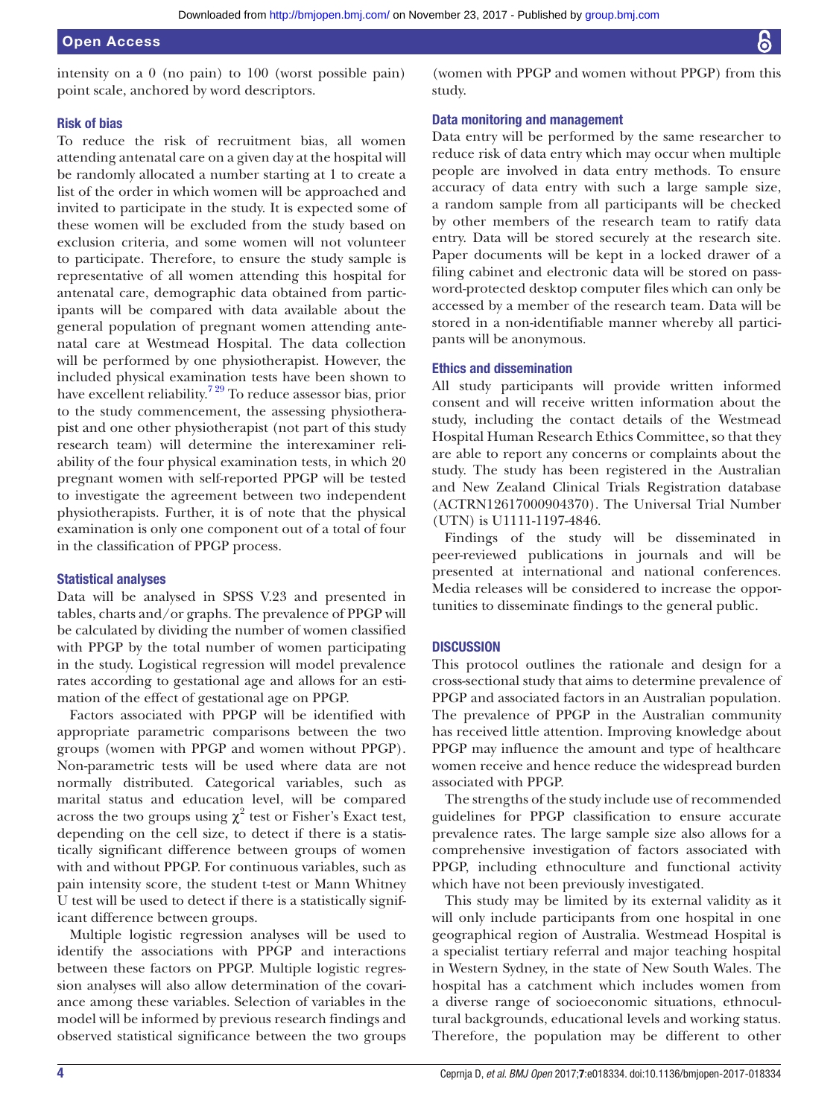intensity on a 0 (no pain) to 100 (worst possible pain) point scale, anchored by word descriptors.

(women with PPGP and women without PPGP) from this study.

#### Risk of bias

To reduce the risk of recruitment bias, all women attending antenatal care on a given day at the hospital will be randomly allocated a number starting at 1 to create a list of the order in which women will be approached and invited to participate in the study. It is expected some of these women will be excluded from the study based on exclusion criteria, and some women will not volunteer to participate. Therefore, to ensure the study sample is representative of all women attending this hospital for antenatal care, demographic data obtained from participants will be compared with data available about the general population of pregnant women attending antenatal care at Westmead Hospital. The data collection will be performed by one physiotherapist. However, the included physical examination tests have been shown to have excellent reliability.[7 29](#page-4-5) To reduce assessor bias, prior to the study commencement, the assessing physiotherapist and one other physiotherapist (not part of this study research team) will determine the interexaminer reliability of the four physical examination tests, in which 20 pregnant women with self-reported PPGP will be tested to investigate the agreement between two independent physiotherapists. Further, it is of note that the physical examination is only one component out of a total of four in the classification of PPGP process.

#### Statistical analyses

Data will be analysed in SPSS V.23 and presented in tables, charts and/or graphs. The prevalence of PPGP will be calculated by dividing the number of women classified with PPGP by the total number of women participating in the study. Logistical regression will model prevalence rates according to gestational age and allows for an estimation of the effect of gestational age on PPGP.

Factors associated with PPGP will be identified with appropriate parametric comparisons between the two groups (women with PPGP and women without PPGP). Non-parametric tests will be used where data are not normally distributed. Categorical variables, such as marital status and education level, will be compared across the two groups using  $\chi^2$  test or Fisher's Exact test, depending on the cell size, to detect if there is a statistically significant difference between groups of women with and without PPGP. For continuous variables, such as pain intensity score, the student t-test or Mann Whitney U test will be used to detect if there is a statistically significant difference between groups.

Multiple logistic regression analyses will be used to identify the associations with PPGP and interactions between these factors on PPGP. Multiple logistic regression analyses will also allow determination of the covariance among these variables. Selection of variables in the model will be informed by previous research findings and observed statistical significance between the two groups

# Data monitoring and management

Data entry will be performed by the same researcher to reduce risk of data entry which may occur when multiple people are involved in data entry methods. To ensure accuracy of data entry with such a large sample size, a random sample from all participants will be checked by other members of the research team to ratify data entry. Data will be stored securely at the research site. Paper documents will be kept in a locked drawer of a filing cabinet and electronic data will be stored on password-protected desktop computer files which can only be accessed by a member of the research team. Data will be stored in a non-identifiable manner whereby all participants will be anonymous.

# Ethics and dissemination

All study participants will provide written informed consent and will receive written information about the study, including the contact details of the Westmead Hospital Human Research Ethics Committee, so that they are able to report any concerns or complaints about the study. The study has been registered in the Australian and New Zealand Clinical Trials Registration database (ACTRN12617000904370). The Universal Trial Number (UTN) is U1111-1197-4846.

Findings of the study will be disseminated in peer-reviewed publications in journals and will be presented at international and national conferences. Media releases will be considered to increase the opportunities to disseminate findings to the general public.

#### **DISCUSSION**

This protocol outlines the rationale and design for a cross-sectional study that aims to determine prevalence of PPGP and associated factors in an Australian population. The prevalence of PPGP in the Australian community has received little attention. Improving knowledge about PPGP may influence the amount and type of healthcare women receive and hence reduce the widespread burden associated with PPGP.

The strengths of the study include use of recommended guidelines for PPGP classification to ensure accurate prevalence rates. The large sample size also allows for a comprehensive investigation of factors associated with PPGP, including ethnoculture and functional activity which have not been previously investigated.

This study may be limited by its external validity as it will only include participants from one hospital in one geographical region of Australia. Westmead Hospital is a specialist tertiary referral and major teaching hospital in Western Sydney, in the state of New South Wales. The hospital has a catchment which includes women from a diverse range of socioeconomic situations, ethnocultural backgrounds, educational levels and working status. Therefore, the population may be different to other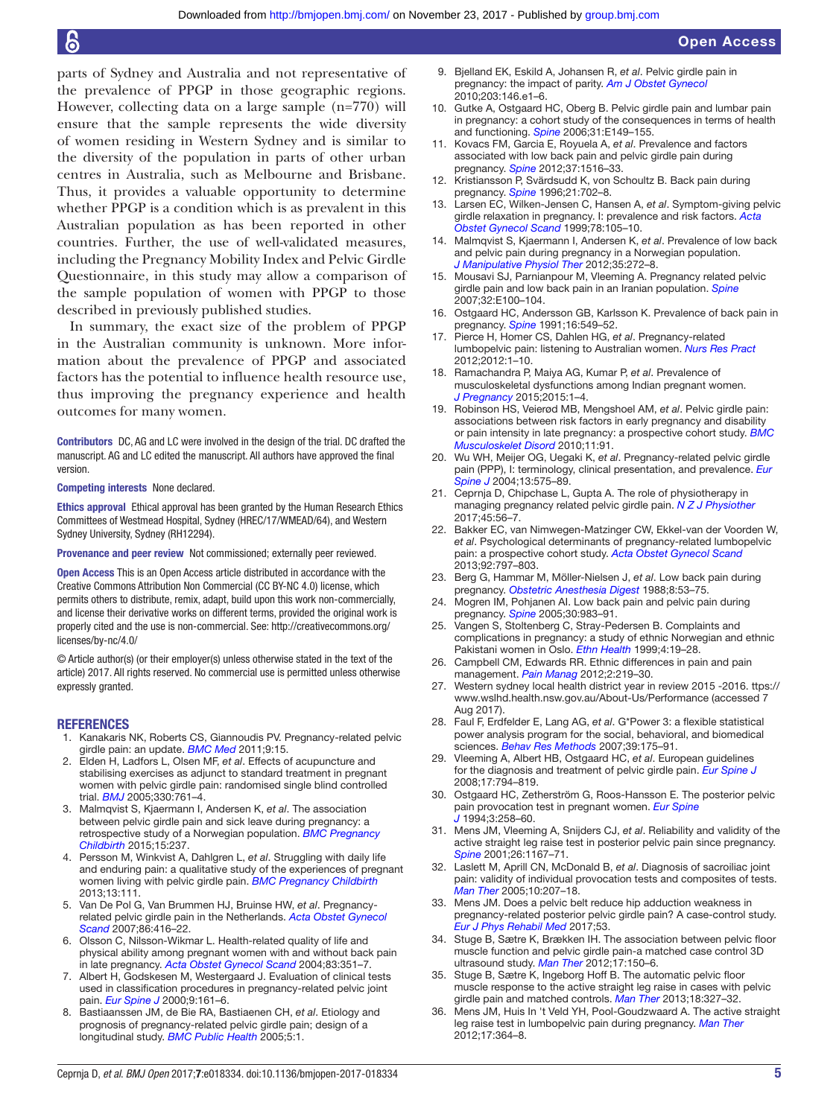parts of Sydney and Australia and not representative of the prevalence of PPGP in those geographic regions. However, collecting data on a large sample (n=770) will ensure that the sample represents the wide diversity of women residing in Western Sydney and is similar to the diversity of the population in parts of other urban centres in Australia, such as Melbourne and Brisbane. Thus, it provides a valuable opportunity to determine whether PPGP is a condition which is as prevalent in this Australian population as has been reported in other countries. Further, the use of well-validated measures, including the Pregnancy Mobility Index and Pelvic Girdle Questionnaire, in this study may allow a comparison of the sample population of women with PPGP to those described in previously published studies.

In summary, the exact size of the problem of PPGP in the Australian community is unknown. More information about the prevalence of PPGP and associated factors has the potential to influence health resource use, thus improving the pregnancy experience and health outcomes for many women.

Contributors DC, AG and LC were involved in the design of the trial. DC drafted the manuscript. AG and LC edited the manuscript. All authors have approved the final version.

Competing interests None declared.

Ethics approval Ethical approval has been granted by the Human Research Ethics Committees of Westmead Hospital, Sydney (HREC/17/WMEAD/64), and Western Sydney University, Sydney (RH12294).

Provenance and peer review Not commissioned; externally peer reviewed.

Open Access This is an Open Access article distributed in accordance with the Creative Commons Attribution Non Commercial (CC BY-NC 4.0) license, which permits others to distribute, remix, adapt, build upon this work non-commercially, and license their derivative works on different terms, provided the original work is properly cited and the use is non-commercial. See: [http://creativecommons.org/](http://creativecommons.org/licenses/by-nc/4.0/) [licenses/by-nc/4.0/](http://creativecommons.org/licenses/by-nc/4.0/)

© Article author(s) (or their employer(s) unless otherwise stated in the text of the article) 2017. All rights reserved. No commercial use is permitted unless otherwise expressly granted.

#### **REFERENCES**

- <span id="page-4-0"></span>1. Kanakaris NK, Roberts CS, Giannoudis PV. Pregnancy-related pelvic girdle pain: an update. *[BMC Med](http://dx.doi.org/10.1186/1741-7015-9-15)* 2011;9:15.
- <span id="page-4-1"></span>2. Elden H, Ladfors L, Olsen MF, *et al*. Effects of acupuncture and stabilising exercises as adjunct to standard treatment in pregnant women with pelvic girdle pain: randomised single blind controlled trial. *[BMJ](http://dx.doi.org/10.1136/bmj.38397.507014.E0)* 2005;330:761–4.
- 3. Malmqvist S, Kjaermann I, Andersen K, *et al*. The association between pelvic girdle pain and sick leave during pregnancy: a retrospective study of a Norwegian population. *[BMC Pregnancy](http://dx.doi.org/10.1186/s12884-015-0667-0)  [Childbirth](http://dx.doi.org/10.1186/s12884-015-0667-0)* 2015;15:237.
- <span id="page-4-2"></span>4. Persson M, Winkvist A, Dahlgren L, *et al*. Struggling with daily life and enduring pain: a qualitative study of the experiences of pregnant women living with pelvic girdle pain. *[BMC Pregnancy Childbirth](http://dx.doi.org/10.1186/1471-2393-13-111)* 2013;13:111.
- <span id="page-4-4"></span>5. Van De Pol G, Van Brummen HJ, Bruinse HW, *et al*. Pregnancyrelated pelvic girdle pain in the Netherlands. *[Acta Obstet Gynecol](http://dx.doi.org/10.1080/00016340601151683)  [Scand](http://dx.doi.org/10.1080/00016340601151683)* 2007;86:416–22.
- <span id="page-4-3"></span>6. Olsson C, Nilsson-Wikmar L. Health-related quality of life and physical ability among pregnant women with and without back pain in late pregnancy. *[Acta Obstet Gynecol Scand](http://dx.doi.org/10.1080/j.0001-6349.2004.00384.x)* 2004;83:351–7.
- <span id="page-4-5"></span>7. Albert H, Godskesen M, Westergaard J. Evaluation of clinical tests used in classification procedures in pregnancy-related pelvic joint pain. *[Eur Spine J](http://dx.doi.org/10.1007/s005860050228)* 2000;9:161–6.
- 8. Bastiaanssen JM, de Bie RA, Bastiaenen CH, *et al*. Etiology and prognosis of pregnancy-related pelvic girdle pain; design of a longitudinal study. *[BMC Public Health](http://dx.doi.org/10.1186/1471-2458-5-1)* 2005;5:1.
- <span id="page-4-10"></span>9. Bjelland EK, Eskild A, Johansen R, *et al*. Pelvic girdle pain in pregnancy: the impact of parity. *[Am J Obstet Gynecol](http://dx.doi.org/10.1016/j.ajog.2010.03.040)* 2010;203:146.e1–6.
- <span id="page-4-20"></span>10. Gutke A, Ostgaard HC, Oberg B. Pelvic girdle pain and lumbar pain in pregnancy: a cohort study of the consequences in terms of health and functioning. *[Spine](http://dx.doi.org/10.1097/01.brs.0000201259.63363.e1)* 2006;31:E149–155.
- <span id="page-4-9"></span>11. Kovacs FM, Garcia E, Royuela A, *et al*. Prevalence and factors associated with low back pain and pelvic girdle pain during pregnancy. *[Spine](http://dx.doi.org/10.1097/BRS.0b013e31824dcb74)* 2012;37:1516–33.
- 12. Kristiansson P, Svärdsudd K, von Schoultz B. Back pain during pregnancy. *[Spine](http://dx.doi.org/10.1097/00007632-199603150-00008)* 1996;21:702–8.
- <span id="page-4-11"></span>13. Larsen EC, Wilken-Jensen C, Hansen A, *et al*. Symptom-giving pelvic girdle relaxation in pregnancy. I: prevalence and risk factors. *[Acta](http://dx.doi.org/10.1080/j.1600-0412.1999.780206.x)  [Obstet Gynecol Scand](http://dx.doi.org/10.1080/j.1600-0412.1999.780206.x)* 1999;78:105–10.
- 14. Malmqvist S, Kjaermann I, Andersen K, *et al*. Prevalence of low back and pelvic pain during pregnancy in a Norwegian population. *[J Manipulative Physiol Ther](http://dx.doi.org/10.1016/j.jmpt.2012.04.004)* 2012;35:272–8.
- 15. Mousavi SJ, Parnianpour M, Vleeming A. Pregnancy related pelvic girdle pain and low back pain in an Iranian population. *[Spine](http://dx.doi.org/10.1097/01.brs.0000254123.26649.6e)* 2007;32:E100–104.
- 16. Ostgaard HC, Andersson GB, Karlsson K. Prevalence of back pain in pregnancy. *[Spine](http://dx.doi.org/10.1097/00007632-199105000-00011)* 1991;16:549–52.
- <span id="page-4-7"></span>17. Pierce H, Homer CS, Dahlen HG, *et al*. Pregnancy-related lumbopelvic pain: listening to Australian women. *[Nurs Res Pract](http://dx.doi.org/10.1155/2012/387428)* 2012;2012:1–10.
- 18. Ramachandra P, Maiya AG, Kumar P, *et al*. Prevalence of musculoskeletal dysfunctions among Indian pregnant women. *[J Pregnancy](http://dx.doi.org/10.1155/2015/437105)* 2015;2015:1–4.
- <span id="page-4-17"></span>19. Robinson HS, Veierød MB, Mengshoel AM, *et al*. Pelvic girdle pain: associations between risk factors in early pregnancy and disability or pain intensity in late pregnancy: a prospective cohort study. *[BMC](http://dx.doi.org/10.1186/1471-2474-11-91)  [Musculoskelet Disord](http://dx.doi.org/10.1186/1471-2474-11-91)* 2010;11:91.
- <span id="page-4-6"></span>20. Wu WH, Meijer OG, Uegaki K, *et al*. Pregnancy-related pelvic girdle pain (PPP), I: terminology, clinical presentation, and prevalence. *[Eur](http://dx.doi.org/10.1007/s00586-003-0615-y)  [Spine J](http://dx.doi.org/10.1007/s00586-003-0615-y)* 2004;13:575–89.
- <span id="page-4-8"></span>21. Ceprnja D, Chipchase L, Gupta A. The role of physiotherapy in managing pregnancy related pelvic girdle pain. *N Z J Physiother* 2017;45:56–7.
- 22. Bakker EC, van Nimwegen-Matzinger CW, Ekkel-van der Voorden W, *et al*. Psychological determinants of pregnancy-related lumbopelvic pain: a prospective cohort study. *[Acta Obstet Gynecol Scand](http://dx.doi.org/10.1111/aogs.12131)* 2013;92:797–803.
- 23. Berg G, Hammar M, Möller-Nielsen J, *et al*. Low back pain during pregnancy. *[Obstetric Anesthesia Digest](http://dx.doi.org/10.1097/00132582-198807000-00002)* 1988;8:53–75.
- 24. Mogren IM, Pohjanen AI. Low back pain and pelvic pain during pregnancy. *[Spine](http://dx.doi.org/10.1097/01.brs.0000158957.42198.8e)* 2005;30:983–91.
- <span id="page-4-12"></span>25. Vangen S, Stoltenberg C, Stray-Pedersen B. Complaints and complications in pregnancy: a study of ethnic Norwegian and ethnic Pakistani women in Oslo. *[Ethn Health](http://dx.doi.org/10.1080/13557859998155)* 1999;4:19–28.
- <span id="page-4-13"></span>26. Campbell CM, Edwards RR. Ethnic differences in pain and pain management. *[Pain Manag](http://dx.doi.org/10.2217/pmt.12.7)* 2012;2:219–30.
- <span id="page-4-14"></span>27. Western sydney local health district year in review 2015 -2016. [ttps://](ttps://www.wslhd.health.nsw.gov.au/About-Us/Performance) [www.wslhd.health.nsw.gov.au/About-Us/Performance](ttps://www.wslhd.health.nsw.gov.au/About-Us/Performance) (accessed 7 Aug 2017).
- <span id="page-4-15"></span>28. Faul F, Erdfelder E, Lang AG, *et al*. G\*Power 3: a flexible statistical power analysis program for the social, behavioral, and biomedical sciences. *[Behav Res Methods](http://dx.doi.org/10.3758/BF03193146)* 2007;39:175–91.
- <span id="page-4-16"></span>29. Vleeming A, Albert HB, Ostgaard HC, *et al*. European guidelines for the diagnosis and treatment of pelvic girdle pain. *[Eur Spine J](http://dx.doi.org/10.1007/s00586-008-0602-4)* 2008;17:794–819.
- <span id="page-4-18"></span>30. Ostgaard HC, Zetherström G, Roos-Hansson E. The posterior pelvic pain provocation test in pregnant women. *[Eur Spine](http://dx.doi.org/10.1007/BF02226575)  [J](http://dx.doi.org/10.1007/BF02226575)* 1994;3:258–60.
- <span id="page-4-19"></span>31. Mens JM, Vleeming A, Snijders CJ, *et al*. Reliability and validity of the active straight leg raise test in posterior pelvic pain since pregnancy. *[Spine](http://dx.doi.org/10.1097/00007632-200105150-00015)* 2001;26:1167–71.
- 32. Laslett M, Aprill CN, McDonald B, *et al*. Diagnosis of sacroiliac joint pain: validity of individual provocation tests and composites of tests. *[Man Ther](http://dx.doi.org/10.1016/j.math.2005.01.003)* 2005;10:207–18.
- 33. Mens JM. Does a pelvic belt reduce hip adduction weakness in pregnancy-related posterior pelvic girdle pain? A case-control study. *[Eur J Phys Rehabil Med](http://dx.doi.org/10.23736/S1973-9087.17.04442-2)* 2017;53.
- 34. Stuge B, Sætre K, Brækken IH. The association between pelvic floor muscle function and pelvic girdle pain-a matched case control 3D ultrasound study. *[Man Ther](http://dx.doi.org/10.1016/j.math.2011.12.004)* 2012;17:150–6.
- 35. Stuge B, Sætre K, Ingeborg Hoff B. The automatic pelvic floor muscle response to the active straight leg raise in cases with pelvic girdle pain and matched controls. *[Man Ther](http://dx.doi.org/10.1016/j.math.2012.12.004)* 2013;18:327–32.
- 36. Mens JM, Huis In 't Veld YH, Pool-Goudzwaard A. The active straight leg raise test in lumbopelvic pain during pregnancy. *[Man Ther](http://dx.doi.org/10.1016/j.math.2012.01.007)* 2012;17:364–8.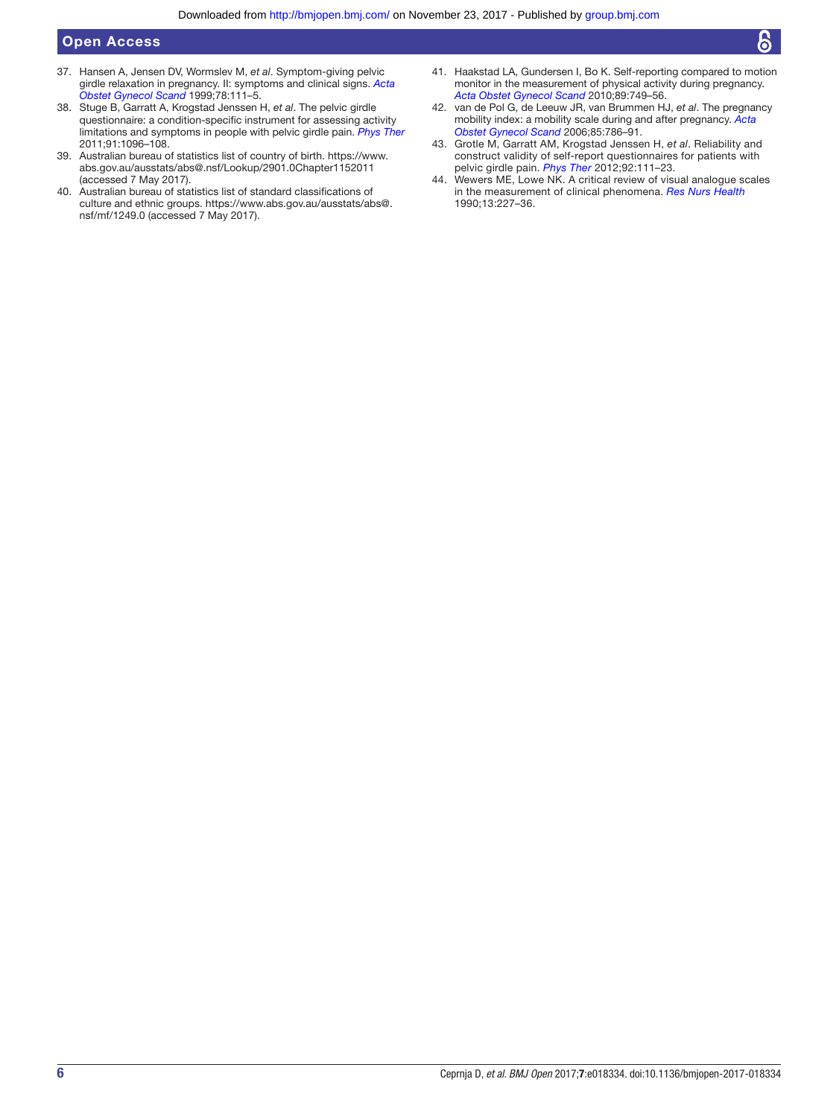- 37. Hansen A, Jensen DV, Wormslev M, *et al*. Symptom-giving pelvic girdle relaxation in pregnancy. II: symptoms and clinical signs. *[Acta](http://dx.doi.org/10.1080/j.1600-0412.1999.780207.x)  [Obstet Gynecol Scand](http://dx.doi.org/10.1080/j.1600-0412.1999.780207.x)* 1999;78:111–5.
- <span id="page-5-4"></span>38. Stuge B, Garratt A, Krogstad Jenssen H, *et al*. The pelvic girdle questionnaire: a condition-specific instrument for assessing activity limitations and symptoms in people with pelvic girdle pain. *[Phys Ther](http://dx.doi.org/10.2522/ptj.20100357)* 2011;91:1096–108.
- <span id="page-5-0"></span>39. Australian bureau of statistics list of country of birth. [https://www.](https://www.abs.gov.au/ausstats/abs@.nsf/Lookup/2901.0Chapter1152011) [abs.gov.au/ausstats/abs@.nsf/Lookup/2901.0Chapter1152011](https://www.abs.gov.au/ausstats/abs@.nsf/Lookup/2901.0Chapter1152011)  (accessed 7 May 2017).
- <span id="page-5-1"></span>40. Australian bureau of statistics list of standard classifications of culture and ethnic groups. [https://www.abs.gov.au/ausstats/abs@.](https://www.abs.gov.au/ausstats/abs@.nsf/mf/1249.0) [nsf/mf/1249.0](https://www.abs.gov.au/ausstats/abs@.nsf/mf/1249.0) (accessed 7 May 2017).
- <span id="page-5-2"></span>41. Haakstad LA, Gundersen I, Bo K. Self-reporting compared to motion monitor in the measurement of physical activity during pregnancy. *[Acta Obstet Gynecol Scand](http://dx.doi.org/10.3109/00016349.2010.484482)* 2010;89:749–56.
- <span id="page-5-3"></span>42. van de Pol G, de Leeuw JR, van Brummen HJ, *et al*. The pregnancy mobility index: a mobility scale during and after pregnancy. *[Acta](http://dx.doi.org/10.1080/00016340500456373)  [Obstet Gynecol Scand](http://dx.doi.org/10.1080/00016340500456373)* 2006;85:786–91.
- 43. Grotle M, Garratt AM, Krogstad Jenssen H, *et al*. Reliability and construct validity of self-report questionnaires for patients with pelvic girdle pain. *[Phys Ther](http://dx.doi.org/10.2522/ptj.20110076)* 2012;92:111–23.
- <span id="page-5-5"></span>44. Wewers ME, Lowe NK. A critical review of visual analogue scales in the measurement of clinical phenomena. *[Res Nurs Health](http://dx.doi.org/10.1002/nur.4770130405)* 1990;13:227–36.